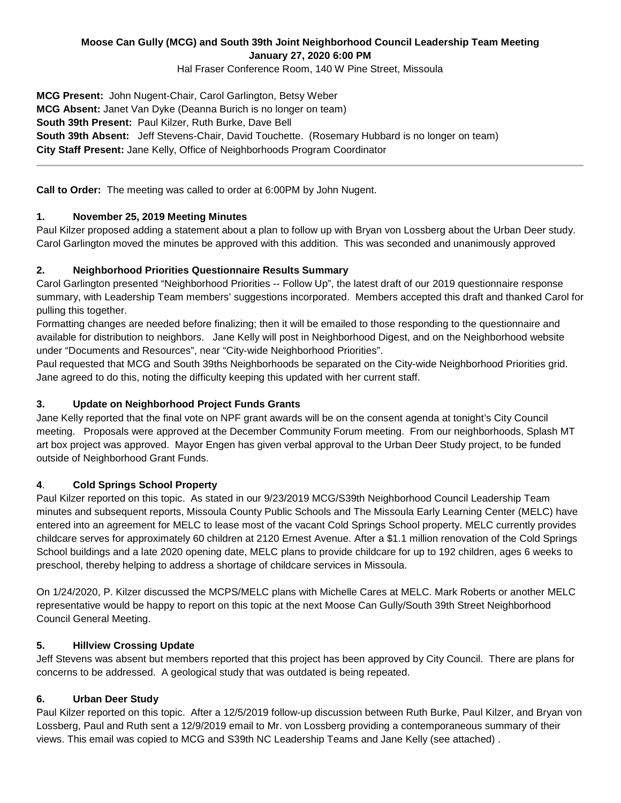# **Moose Can Gully (MCG) and South 39th Joint Neighborhood Council Leadership Team Meeting January 27, 2020 6:00 PM**

Hal Fraser Conference Room, 140 W Pine Street, Missoula

**MCG Present:** John Nugent-Chair, Carol Garlington, Betsy Weber **MCG Absent:** Janet Van Dyke (Deanna Burich is no longer on team) **South 39th Present:** Paul Kilzer, Ruth Burke, Dave Bell **South 39th Absent:** Jeff Stevens-Chair, David Touchette. (Rosemary Hubbard is no longer on team) **City Staff Present:** Jane Kelly, Office of Neighborhoods Program Coordinator

**Call to Order:** The meeting was called to order at 6:00PM by John Nugent.

## **1. November 25, 2019 Meeting Minutes**

Paul Kilzer proposed adding a statement about a plan to follow up with Bryan von Lossberg about the Urban Deer study. Carol Garlington moved the minutes be approved with this addition. This was seconded and unanimously approved

### **2. Neighborhood Priorities Questionnaire Results Summary**

Carol Garlington presented "Neighborhood Priorities -- Follow Up", the latest draft of our 2019 questionnaire response summary, with Leadership Team members' suggestions incorporated. Members accepted this draft and thanked Carol for pulling this together.

Formatting changes are needed before finalizing; then it will be emailed to those responding to the questionnaire and available for distribution to neighbors. Jane Kelly will post in Neighborhood Digest, and on the Neighborhood website under "Documents and Resources", near "City-wide Neighborhood Priorities".

Paul requested that MCG and South 39ths Neighborhoods be separated on the City-wide Neighborhood Priorities grid. Jane agreed to do this, noting the difficulty keeping this updated with her current staff.

### **3. Update on Neighborhood Project Funds Grants**

Jane Kelly reported that the final vote on NPF grant awards will be on the consent agenda at tonight's City Council meeting. Proposals were approved at the December Community Forum meeting. From our neighborhoods, Splash MT art box project was approved. Mayor Engen has given verbal approval to the Urban Deer Study project, to be funded outside of Neighborhood Grant Funds.

#### **4**. **Cold Springs School Property**

Paul Kilzer reported on this topic. As stated in our 9/23/2019 MCG/S39th Neighborhood Council Leadership Team minutes and subsequent reports, Missoula County Public Schools and The Missoula Early Learning Center (MELC) have entered into an agreement for MELC to lease most of the vacant Cold Springs School property. MELC currently provides childcare serves for approximately 60 children at 2120 Ernest Avenue. After a \$1.1 million renovation of the Cold Springs School buildings and a late 2020 opening date, MELC plans to provide childcare for up to 192 children, ages 6 weeks to preschool, thereby helping to address a shortage of childcare services in Missoula.

On 1/24/2020, P. Kilzer discussed the MCPS/MELC plans with Michelle Cares at MELC. Mark Roberts or another MELC representative would be happy to report on this topic at the next Moose Can Gully/South 39th Street Neighborhood Council General Meeting.

#### **5. Hillview Crossing Update**

Jeff Stevens was absent but members reported that this project has been approved by City Council. There are plans for concerns to be addressed. A geological study that was outdated is being repeated.

#### **6. Urban Deer Study**

Paul Kilzer reported on this topic. After a 12/5/2019 follow-up discussion between Ruth Burke, Paul Kilzer, and Bryan von Lossberg, Paul and Ruth sent a 12/9/2019 email to Mr. von Lossberg providing a contemporaneous summary of their views. This email was copied to MCG and S39th NC Leadership Teams and Jane Kelly (see attached) .